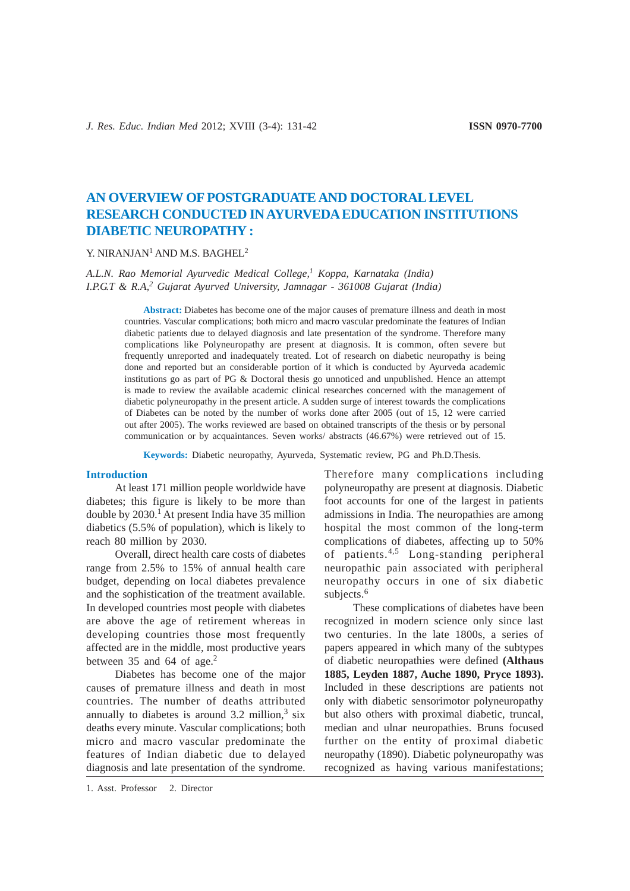# **AN OVERVIEW OF POSTGRADUATE AND DOCTORAL LEVEL RESEARCH CONDUCTED IN AYURVEDA EDUCATION INSTITUTIONS DIABETIC NEUROPATHY :**

# Y. NIRANJAN<sup>1</sup> AND M.S. BAGHEL<sup>2</sup>

# *A.L.N. Rao Memorial Ayurvedic Medical College,1 Koppa, Karnataka (India) I.P.G.T & R.A,2 Gujarat Ayurved University, Jamnagar - 361008 Gujarat (India)*

**Abstract:** Diabetes has become one of the major causes of premature illness and death in most countries. Vascular complications; both micro and macro vascular predominate the features of Indian diabetic patients due to delayed diagnosis and late presentation of the syndrome. Therefore many complications like Polyneuropathy are present at diagnosis. It is common, often severe but frequently unreported and inadequately treated. Lot of research on diabetic neuropathy is being done and reported but an considerable portion of it which is conducted by Ayurveda academic institutions go as part of PG & Doctoral thesis go unnoticed and unpublished. Hence an attempt is made to review the available academic clinical researches concerned with the management of diabetic polyneuropathy in the present article. A sudden surge of interest towards the complications of Diabetes can be noted by the number of works done after 2005 (out of 15, 12 were carried out after 2005). The works reviewed are based on obtained transcripts of the thesis or by personal communication or by acquaintances. Seven works/ abstracts (46.67%) were retrieved out of 15.

**Keywords:** Diabetic neuropathy, Ayurveda, Systematic review, PG and Ph.D.Thesis.

#### **Introduction**

At least 171 million people worldwide have diabetes; this figure is likely to be more than double by  $2030$ .<sup>1</sup> At present India have 35 million diabetics (5.5% of population), which is likely to reach 80 million by 2030.

Overall, direct health care costs of diabetes range from 2.5% to 15% of annual health care budget, depending on local diabetes prevalence and the sophistication of the treatment available. In developed countries most people with diabetes are above the age of retirement whereas in developing countries those most frequently affected are in the middle, most productive years between 35 and 64 of age.<sup>2</sup>

Diabetes has become one of the major causes of premature illness and death in most countries. The number of deaths attributed annually to diabetes is around  $3.2$  million,<sup>3</sup> six deaths every minute. Vascular complications; both micro and macro vascular predominate the features of Indian diabetic due to delayed diagnosis and late presentation of the syndrome. Therefore many complications including polyneuropathy are present at diagnosis. Diabetic foot accounts for one of the largest in patients admissions in India. The neuropathies are among hospital the most common of the long-term complications of diabetes, affecting up to 50% of patients.4,5 Long-standing peripheral neuropathic pain associated with peripheral neuropathy occurs in one of six diabetic subjects.<sup>6</sup>

These complications of diabetes have been recognized in modern science only since last two centuries. In the late 1800s, a series of papers appeared in which many of the subtypes of diabetic neuropathies were defined **(Althaus 1885, Leyden 1887, Auche 1890, Pryce 1893).** Included in these descriptions are patients not only with diabetic sensorimotor polyneuropathy but also others with proximal diabetic, truncal, median and ulnar neuropathies. Bruns focused further on the entity of proximal diabetic neuropathy (1890). Diabetic polyneuropathy was recognized as having various manifestations;

<sup>1.</sup> Asst. Professor 2. Director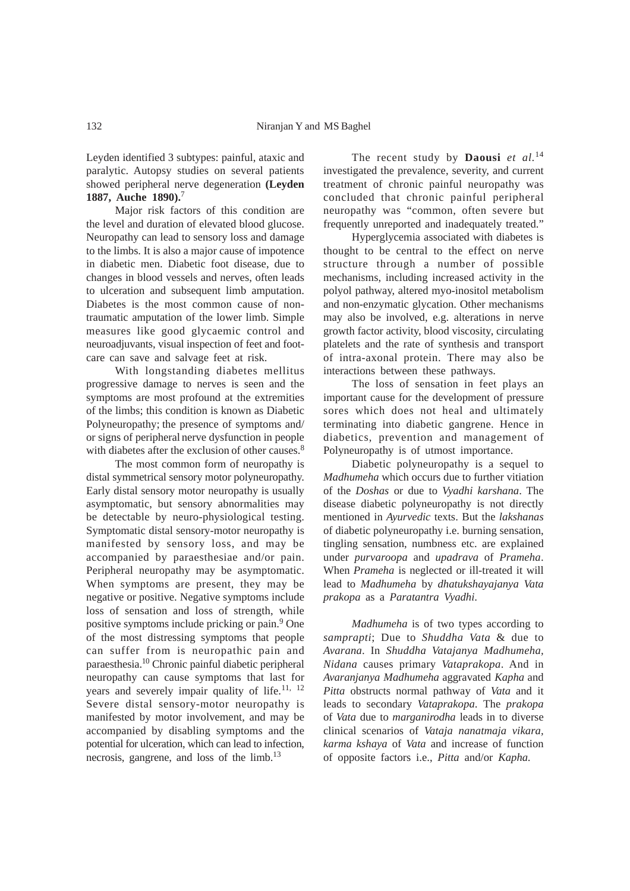Leyden identified 3 subtypes: painful, ataxic and paralytic. Autopsy studies on several patients showed peripheral nerve degeneration **(Leyden 1887, Auche 1890).**<sup>7</sup>

Major risk factors of this condition are the level and duration of elevated blood glucose. Neuropathy can lead to sensory loss and damage to the limbs. It is also a major cause of impotence in diabetic men. Diabetic foot disease, due to changes in blood vessels and nerves, often leads to ulceration and subsequent limb amputation. Diabetes is the most common cause of nontraumatic amputation of the lower limb. Simple measures like good glycaemic control and neuroadjuvants, visual inspection of feet and footcare can save and salvage feet at risk.

With longstanding diabetes mellitus progressive damage to nerves is seen and the symptoms are most profound at the extremities of the limbs; this condition is known as Diabetic Polyneuropathy; the presence of symptoms and/ or signs of peripheral nerve dysfunction in people with diabetes after the exclusion of other causes.<sup>8</sup>

The most common form of neuropathy is distal symmetrical sensory motor polyneuropathy. Early distal sensory motor neuropathy is usually asymptomatic, but sensory abnormalities may be detectable by neuro-physiological testing. Symptomatic distal sensory-motor neuropathy is manifested by sensory loss, and may be accompanied by paraesthesiae and/or pain. Peripheral neuropathy may be asymptomatic. When symptoms are present, they may be negative or positive. Negative symptoms include loss of sensation and loss of strength, while positive symptoms include pricking or pain.9 One of the most distressing symptoms that people can suffer from is neuropathic pain and paraesthesia.10 Chronic painful diabetic peripheral neuropathy can cause symptoms that last for years and severely impair quality of life.<sup>11, 12</sup> Severe distal sensory-motor neuropathy is manifested by motor involvement, and may be accompanied by disabling symptoms and the potential for ulceration, which can lead to infection, necrosis, gangrene, and loss of the limb.13

The recent study by **Daousi** *et al.*<sup>14</sup> investigated the prevalence, severity, and current treatment of chronic painful neuropathy was concluded that chronic painful peripheral neuropathy was "common, often severe but frequently unreported and inadequately treated."

Hyperglycemia associated with diabetes is thought to be central to the effect on nerve structure through a number of possible mechanisms, including increased activity in the polyol pathway, altered myo-inositol metabolism and non-enzymatic glycation. Other mechanisms may also be involved, e.g. alterations in nerve growth factor activity, blood viscosity, circulating platelets and the rate of synthesis and transport of intra-axonal protein. There may also be interactions between these pathways.

The loss of sensation in feet plays an important cause for the development of pressure sores which does not heal and ultimately terminating into diabetic gangrene. Hence in diabetics, prevention and management of Polyneuropathy is of utmost importance.

Diabetic polyneuropathy is a sequel to *Madhumeha* which occurs due to further vitiation of the *Doshas* or due to *Vyadhi karshana*. The disease diabetic polyneuropathy is not directly mentioned in *Ayurvedic* texts. But the *lakshanas* of diabetic polyneuropathy i.e. burning sensation, tingling sensation, numbness etc. are explained under *purvaroopa* and *upadrava* of *Prameha*. When *Prameha* is neglected or ill-treated it will lead to *Madhumeha* by *dhatukshayajanya Vata prakopa* as a *Paratantra Vyadhi*.

*Madhumeha* is of two types according to *samprapti*; Due to *Shuddha Vata* & due to *Avarana*. In *Shuddha Vatajanya Madhumeha, Nidana* causes primary *Vataprakopa*. And in *Avaranjanya Madhumeha* aggravated *Kapha* and *Pitta* obstructs normal pathway of *Vata* and it leads to secondary *Vataprakopa*. The *prakopa* of *Vata* due to *marganirodha* leads in to diverse clinical scenarios of *Vataja nanatmaja vikara, karma kshaya* of *Vata* and increase of function of opposite factors i.e., *Pitta* and/or *Kapha*.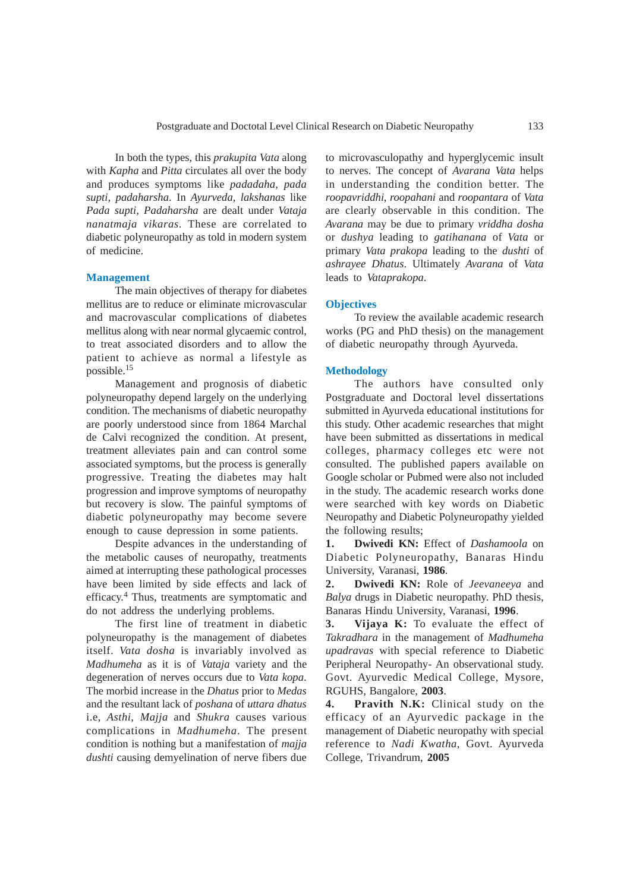In both the types, this *prakupita Vata* along with *Kapha* and *Pitta* circulates all over the body and produces symptoms like *padadaha, pada supti, padaharsha*. In *Ayurveda, lakshanas* like *Pada supti, Padaharsha* are dealt under *Vataja nanatmaja vikaras*. These are correlated to diabetic polyneuropathy as told in modern system of medicine.

# **Management**

The main objectives of therapy for diabetes mellitus are to reduce or eliminate microvascular and macrovascular complications of diabetes mellitus along with near normal glycaemic control, to treat associated disorders and to allow the patient to achieve as normal a lifestyle as possible.<sup>15</sup>

Management and prognosis of diabetic polyneuropathy depend largely on the underlying condition. The mechanisms of diabetic neuropathy are poorly understood since from 1864 Marchal de Calvi recognized the condition. At present, treatment alleviates pain and can control some associated symptoms, but the process is generally progressive. Treating the diabetes may halt progression and improve symptoms of neuropathy but recovery is slow. The painful symptoms of diabetic polyneuropathy may become severe enough to cause depression in some patients.

Despite advances in the understanding of the metabolic causes of neuropathy, treatments aimed at interrupting these pathological processes have been limited by side effects and lack of efficacy.<sup>4</sup> Thus, treatments are symptomatic and do not address the underlying problems.

The first line of treatment in diabetic polyneuropathy is the management of diabetes itself. *Vata dosha* is invariably involved as *Madhumeha* as it is of *Vataja* variety and the degeneration of nerves occurs due to *Vata kopa*. The morbid increase in the *Dhatus* prior to *Medas* and the resultant lack of *poshana* of *uttara dhatus* i.e, *Asthi*, *Majja* and *Shukra* causes various complications in *Madhumeha*. The present condition is nothing but a manifestation of *majja dushti* causing demyelination of nerve fibers due

to microvasculopathy and hyperglycemic insult to nerves. The concept of *Avarana Vata* helps in understanding the condition better. The *roopavriddhi*, *roopahani* and *roopantara* of *Vata* are clearly observable in this condition. The *Avarana* may be due to primary *vriddha dosha* or *dushya* leading to *gatihanana* of *Vata* or primary *Vata prakopa* leading to the *dushti* of *ashrayee Dhatus*. Ultimately *Avarana* of *Vata* leads to *Vataprakopa*.

## **Objectives**

To review the available academic research works (PG and PhD thesis) on the management of diabetic neuropathy through Ayurveda.

#### **Methodology**

The authors have consulted only Postgraduate and Doctoral level dissertations submitted in Ayurveda educational institutions for this study. Other academic researches that might have been submitted as dissertations in medical colleges, pharmacy colleges etc were not consulted. The published papers available on Google scholar or Pubmed were also not included in the study. The academic research works done were searched with key words on Diabetic Neuropathy and Diabetic Polyneuropathy yielded the following results;

**1. Dwivedi KN:** Effect of *Dashamoola* on Diabetic Polyneuropathy, Banaras Hindu University, Varanasi, **1986**.

**2. Dwivedi KN:** Role of *Jeevaneeya* and *Balya* drugs in Diabetic neuropathy. PhD thesis, Banaras Hindu University, Varanasi, **1996**.

**3. Vijaya K:** To evaluate the effect of *Takradhara* in the management of *Madhumeha upadravas* with special reference to Diabetic Peripheral Neuropathy- An observational study. Govt. Ayurvedic Medical College, Mysore, RGUHS, Bangalore, **2003**.

**4. Pravith N.K:** Clinical study on the efficacy of an Ayurvedic package in the management of Diabetic neuropathy with special reference to *Nadi Kwatha*, Govt. Ayurveda College, Trivandrum, **2005**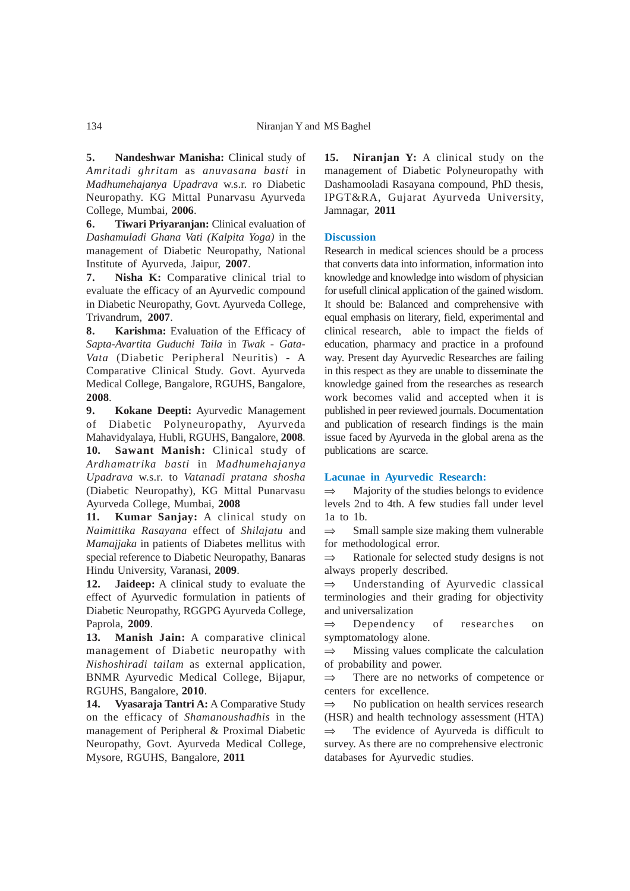**5. Nandeshwar Manisha:** Clinical study of *Amritadi ghritam* as *anuvasana basti* in *Madhumehajanya Upadrava* w.s.r. ro Diabetic Neuropathy. KG Mittal Punarvasu Ayurveda College, Mumbai, **2006**.

**6. Tiwari Priyaranjan:** Clinical evaluation of *Dashamuladi Ghana Vati (Kalpita Yoga)* in the management of Diabetic Neuropathy, National Institute of Ayurveda, Jaipur, **2007**.

**7. Nisha K:** Comparative clinical trial to evaluate the efficacy of an Ayurvedic compound in Diabetic Neuropathy, Govt. Ayurveda College, Trivandrum, **2007**.

**8. Karishma:** Evaluation of the Efficacy of *Sapta-Avartita Guduchi Taila* in *Twak - Gata-Vata* (Diabetic Peripheral Neuritis) - A Comparative Clinical Study. Govt. Ayurveda Medical College, Bangalore, RGUHS, Bangalore, **2008**.

**9. Kokane Deepti:** Ayurvedic Management of Diabetic Polyneuropathy, Ayurveda Mahavidyalaya, Hubli, RGUHS, Bangalore, **2008**. **10. Sawant Manish:** Clinical study of *Ardhamatrika basti* in *Madhumehajanya Upadrava* w.s.r. to *Vatanadi pratana shosha* (Diabetic Neuropathy), KG Mittal Punarvasu Ayurveda College, Mumbai, **2008**

**11. Kumar Sanjay:** A clinical study on *Naimittika Rasayana* effect of *Shilajatu* and *Mamajjaka* in patients of Diabetes mellitus with special reference to Diabetic Neuropathy, Banaras Hindu University, Varanasi, **2009**.

**12. Jaideep:** A clinical study to evaluate the effect of Ayurvedic formulation in patients of Diabetic Neuropathy, RGGPG Ayurveda College, Paprola, **2009**.

**13. Manish Jain:** A comparative clinical management of Diabetic neuropathy with *Nishoshiradi tailam* as external application, BNMR Ayurvedic Medical College, Bijapur, RGUHS, Bangalore, **2010**.

**14. Vyasaraja Tantri A:** A Comparative Study on the efficacy of *Shamanoushadhis* in the management of Peripheral & Proximal Diabetic Neuropathy, Govt. Ayurveda Medical College, Mysore, RGUHS, Bangalore, **2011**

**15. Niranjan Y:** A clinical study on the management of Diabetic Polyneuropathy with Dashamooladi Rasayana compound, PhD thesis, IPGT&RA, Gujarat Ayurveda University, Jamnagar, **2011**

# **Discussion**

Research in medical sciences should be a process that converts data into information, information into knowledge and knowledge into wisdom of physician for usefull clinical application of the gained wisdom. It should be: Balanced and comprehensive with equal emphasis on literary, field, experimental and clinical research, able to impact the fields of education, pharmacy and practice in a profound way. Present day Ayurvedic Researches are failing in this respect as they are unable to disseminate the knowledge gained from the researches as research work becomes valid and accepted when it is published in peer reviewed journals. Documentation and publication of research findings is the main issue faced by Ayurveda in the global arena as the publications are scarce.

### **Lacunae in Ayurvedic Research:**

 $\Rightarrow$  Majority of the studies belongs to evidence levels 2nd to 4th. A few studies fall under level 1a to 1b.

 $\Rightarrow$  Small sample size making them vulnerable for methodological error.

⇒ Rationale for selected study designs is not always properly described.

⇒ Understanding of Ayurvedic classical terminologies and their grading for objectivity and universalization

⇒ Dependency of researches on symptomatology alone.

 $\Rightarrow$  Missing values complicate the calculation of probability and power.

There are no networks of competence or centers for excellence.

 $\Rightarrow$  No publication on health services research (HSR) and health technology assessment (HTA)  $\Rightarrow$  The evidence of Ayurveda is difficult to survey. As there are no comprehensive electronic databases for Ayurvedic studies.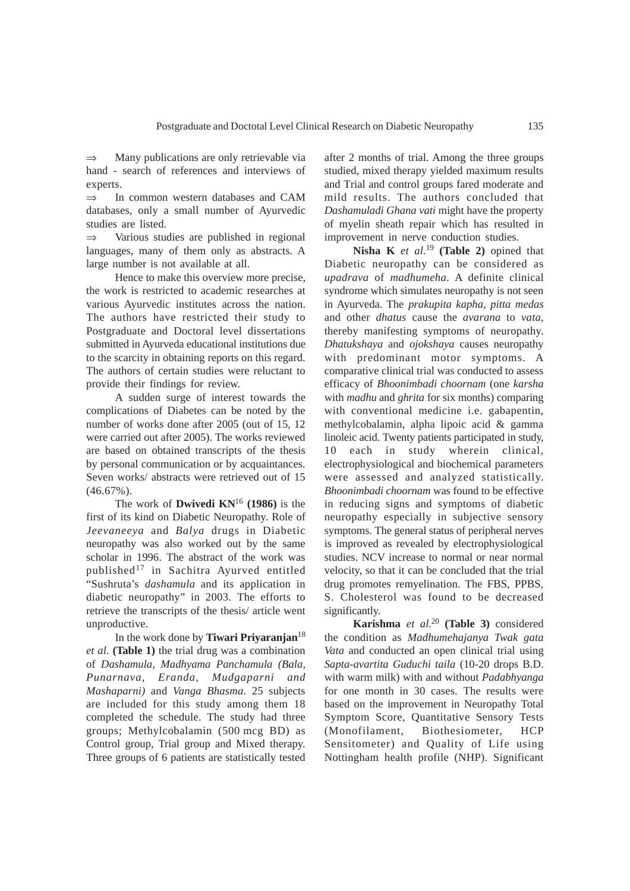⇒ Many publications are only retrievable via hand - search of references and interviews of experts.

⇒ In common western databases and CAM databases, only a small number of Ayurvedic studies are listed.

⇒ Various studies are published in regional languages, many of them only as abstracts. A large number is not available at all.

Hence to make this overview more precise, the work is restricted to academic researches at various Ayurvedic institutes across the nation. The authors have restricted their study to Postgraduate and Doctoral level dissertations submitted in Ayurveda educational institutions due to the scarcity in obtaining reports on this regard. The authors of certain studies were reluctant to provide their findings for review.

A sudden surge of interest towards the complications of Diabetes can be noted by the number of works done after 2005 (out of 15, 12 were carried out after 2005). The works reviewed are based on obtained transcripts of the thesis by personal communication or by acquaintances. Seven works/ abstracts were retrieved out of 15  $(46.67\%)$ .

The work of **Dwivedi KN**<sup>16</sup> **(1986)** is the first of its kind on Diabetic Neuropathy. Role of *Jeevaneeya* and *Balya* drugs in Diabetic neuropathy was also worked out by the same scholar in 1996. The abstract of the work was published<sup>17</sup> in Sachitra Ayurved entitled "Sushruta's *dashamula* and its application in diabetic neuropathy" in 2003. The efforts to retrieve the transcripts of the thesis/ article went unproductive.

In the work done by **Tiwari Priyaranjan**<sup>18</sup> *et al.* **(Table 1)** the trial drug was a combination of *Dashamula, Madhyama Panchamula (Bala, Punarnava, Eranda, Mudgaparni and Mashaparni)* and *Vanga Bhasma*. 25 subjects are included for this study among them 18 completed the schedule. The study had three groups; Methylcobalamin (500 mcg BD) as Control group, Trial group and Mixed therapy. Three groups of 6 patients are statistically tested

after 2 months of trial. Among the three groups studied, mixed therapy yielded maximum results and Trial and control groups fared moderate and mild results. The authors concluded that *Dashamuladi Ghana vati* might have the property of myelin sheath repair which has resulted in improvement in nerve conduction studies.

**Nisha K** *et al.*<sup>19</sup> **(Table 2)** opined that Diabetic neuropathy can be considered as *upadrava* of *madhumeha*. A definite clinical syndrome which simulates neuropathy is not seen in Ayurveda. The *prakupita kapha, pitta medas* and other *dhatus* cause the *avarana* to *vata*, thereby manifesting symptoms of neuropathy. *Dhatukshaya* and *ojokshaya* causes neuropathy with predominant motor symptoms. A comparative clinical trial was conducted to assess efficacy of *Bhoonimbadi choornam* (one *karsha* with *madhu* and *ghrita* for six months) comparing with conventional medicine i.e. gabapentin, methylcobalamin, alpha lipoic acid & gamma linoleic acid. Twenty patients participated in study, 10 each in study wherein clinical, electrophysiological and biochemical parameters were assessed and analyzed statistically. *Bhoonimbadi choornam* was found to be effective in reducing signs and symptoms of diabetic neuropathy especially in subjective sensory symptoms. The general status of peripheral nerves is improved as revealed by electrophysiological studies. NCV increase to normal or near normal velocity, so that it can be concluded that the trial drug promotes remyelination. The FBS, PPBS, S. Cholesterol was found to be decreased significantly.

**Karishma** *et al.*<sup>20</sup> **(Table 3)** considered the condition as *Madhumehajanya Twak gata Vata* and conducted an open clinical trial using *Sapta-avartita Guduchi taila* (10-20 drops B.D. with warm milk) with and without *Padabhyanga* for one month in 30 cases. The results were based on the improvement in Neuropathy Total Symptom Score, Quantitative Sensory Tests (Monofilament, Biothesiometer, HCP Sensitometer) and Quality of Life using Nottingham health profile (NHP). Significant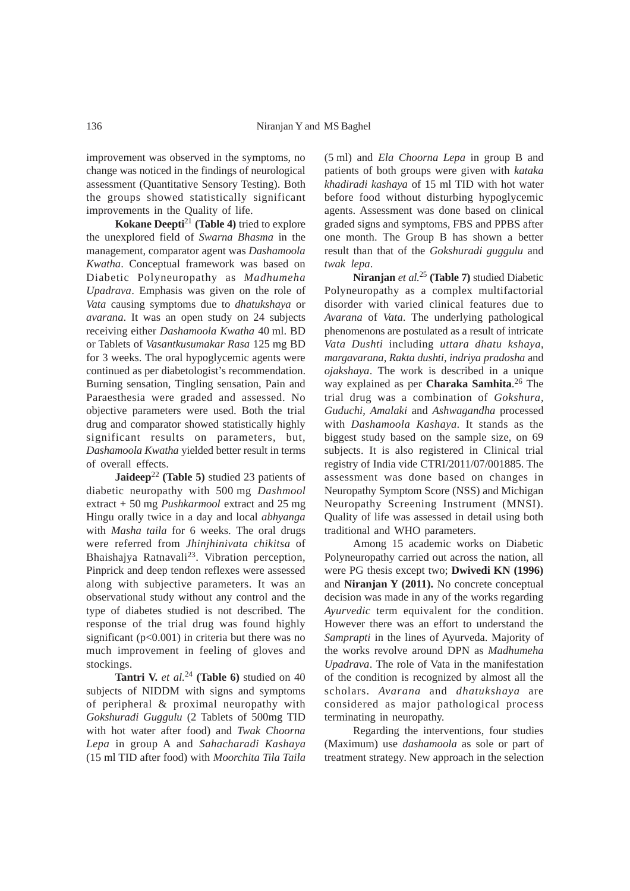improvement was observed in the symptoms, no change was noticed in the findings of neurological assessment (Quantitative Sensory Testing). Both the groups showed statistically significant improvements in the Quality of life.

**Kokane Deepti**<sup>21</sup> **(Table 4)** tried to explore the unexplored field of *Swarna Bhasma* in the management, comparator agent was *Dashamoola Kwatha*. Conceptual framework was based on Diabetic Polyneuropathy as *Madhumeha Upadrava*. Emphasis was given on the role of *Vata* causing symptoms due to *dhatukshaya* or *avarana*. It was an open study on 24 subjects receiving either *Dashamoola Kwatha* 40 ml. BD or Tablets of *Vasantkusumakar Rasa* 125 mg BD for 3 weeks. The oral hypoglycemic agents were continued as per diabetologist's recommendation. Burning sensation, Tingling sensation, Pain and Paraesthesia were graded and assessed. No objective parameters were used. Both the trial drug and comparator showed statistically highly significant results on parameters, but, *Dashamoola Kwatha* yielded better result in terms of overall effects.

**Jaideep**<sup>22</sup> (Table 5) studied 23 patients of diabetic neuropathy with 500 mg *Dashmool* extract + 50 mg *Pushkarmool* extract and 25 mg Hingu orally twice in a day and local *abhyanga* with *Masha taila* for 6 weeks. The oral drugs were referred from *Jhinjhinivata chikitsa* of Bhaishajya Ratnavali23. Vibration perception, Pinprick and deep tendon reflexes were assessed along with subjective parameters. It was an observational study without any control and the type of diabetes studied is not described. The response of the trial drug was found highly significant  $(p<0.001)$  in criteria but there was no much improvement in feeling of gloves and stockings.

**Tantri V.** *et al.*<sup>24</sup> **(Table 6)** studied on 40 subjects of NIDDM with signs and symptoms of peripheral & proximal neuropathy with *Gokshuradi Guggulu* (2 Tablets of 500mg TID with hot water after food) and *Twak Choorna Lepa* in group A and *Sahacharadi Kashaya* (15 ml TID after food) with *Moorchita Tila Taila* (5 ml) and *Ela Choorna Lepa* in group B and patients of both groups were given with *kataka khadiradi kashaya* of 15 ml TID with hot water before food without disturbing hypoglycemic agents. Assessment was done based on clinical graded signs and symptoms, FBS and PPBS after one month. The Group B has shown a better result than that of the *Gokshuradi guggulu* and *twak lepa*.

**Niranjan** *et al.*<sup>25</sup> **(Table 7)** studied Diabetic Polyneuropathy as a complex multifactorial disorder with varied clinical features due to *Avarana* of *Vata*. The underlying pathological phenomenons are postulated as a result of intricate *Vata Dushti* including *uttara dhatu kshaya*, *margavarana*, *Rakta dushti*, *indriya pradosha* and *ojakshaya*. The work is described in a unique way explained as per **Charaka Samhita**. 26 The trial drug was a combination of *Gokshura*, *Guduchi*, *Amalaki* and *Ashwagandha* processed with *Dashamoola Kashaya*. It stands as the biggest study based on the sample size, on 69 subjects. It is also registered in Clinical trial registry of India vide CTRI/2011/07/001885. The assessment was done based on changes in Neuropathy Symptom Score (NSS) and Michigan Neuropathy Screening Instrument (MNSI). Quality of life was assessed in detail using both traditional and WHO parameters.

Among 15 academic works on Diabetic Polyneuropathy carried out across the nation, all were PG thesis except two; **Dwivedi KN (1996)** and **Niranjan Y (2011).** No concrete conceptual decision was made in any of the works regarding *Ayurvedic* term equivalent for the condition. However there was an effort to understand the *Samprapti* in the lines of Ayurveda. Majority of the works revolve around DPN as *Madhumeha Upadrava*. The role of Vata in the manifestation of the condition is recognized by almost all the scholars. *Avarana* and *dhatukshaya* are considered as major pathological process terminating in neuropathy.

Regarding the interventions, four studies (Maximum) use *dashamoola* as sole or part of treatment strategy. New approach in the selection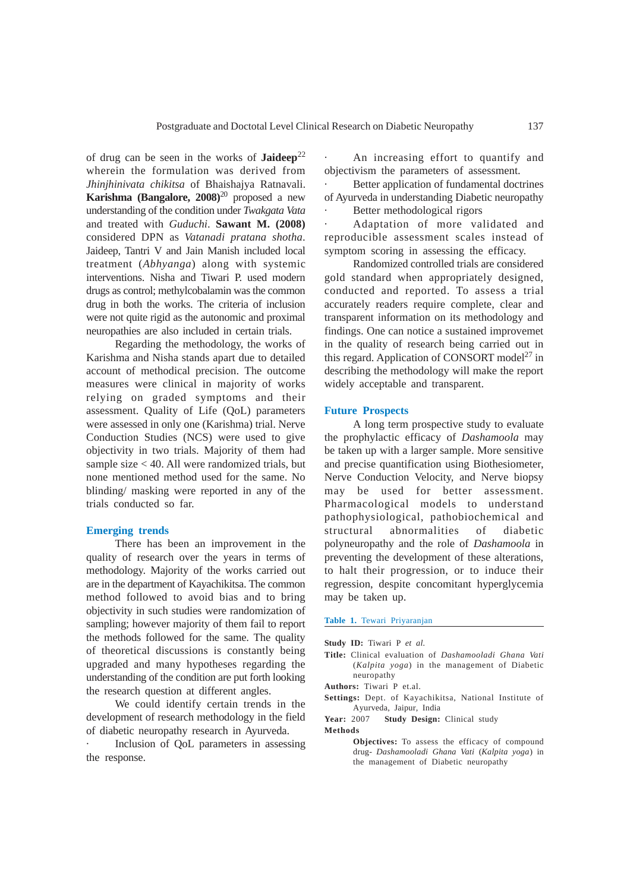of drug can be seen in the works of **Jaideep**<sup>22</sup> wherein the formulation was derived from *Jhinjhinivata chikitsa* of Bhaishajya Ratnavali. **Karishma (Bangalore, 2008)**20 proposed a new understanding of the condition under *Twakgata Vata* and treated with *Guduchi*. **Sawant M. (2008)** considered DPN as *Vatanadi pratana shotha*. Jaideep, Tantri V and Jain Manish included local treatment (*Abhyanga*) along with systemic interventions. Nisha and Tiwari P. used modern drugs as control; methylcobalamin was the common drug in both the works. The criteria of inclusion were not quite rigid as the autonomic and proximal neuropathies are also included in certain trials.

Regarding the methodology, the works of Karishma and Nisha stands apart due to detailed account of methodical precision. The outcome measures were clinical in majority of works relying on graded symptoms and their assessment. Quality of Life (QoL) parameters were assessed in only one (Karishma) trial. Nerve Conduction Studies (NCS) were used to give objectivity in two trials. Majority of them had sample size  $<$  40. All were randomized trials, but none mentioned method used for the same. No blinding/ masking were reported in any of the trials conducted so far.

### **Emerging trends**

There has been an improvement in the quality of research over the years in terms of methodology. Majority of the works carried out are in the department of Kayachikitsa. The common method followed to avoid bias and to bring objectivity in such studies were randomization of sampling; however majority of them fail to report the methods followed for the same. The quality of theoretical discussions is constantly being upgraded and many hypotheses regarding the understanding of the condition are put forth looking the research question at different angles.

We could identify certain trends in the development of research methodology in the field of diabetic neuropathy research in Ayurveda.

Inclusion of QoL parameters in assessing the response.

An increasing effort to quantify and objectivism the parameters of assessment.

Better application of fundamental doctrines of Ayurveda in understanding Diabetic neuropathy Better methodological rigors

Adaptation of more validated and reproducible assessment scales instead of symptom scoring in assessing the efficacy.

Randomized controlled trials are considered gold standard when appropriately designed, conducted and reported. To assess a trial accurately readers require complete, clear and transparent information on its methodology and findings. One can notice a sustained improvemet in the quality of research being carried out in this regard. Application of CONSORT model<sup>27</sup> in describing the methodology will make the report widely acceptable and transparent.

## **Future Prospects**

A long term prospective study to evaluate the prophylactic efficacy of *Dashamoola* may be taken up with a larger sample. More sensitive and precise quantification using Biothesiometer, Nerve Conduction Velocity, and Nerve biopsy may be used for better assessment. Pharmacological models to understand pathophysiological, pathobiochemical and structural abnormalities of diabetic polyneuropathy and the role of *Dashamoola* in preventing the development of these alterations, to halt their progression, or to induce their regression, despite concomitant hyperglycemia may be taken up.

### **Table 1.** Tewari Priyaranjan

**Study ID:** Tiwari P *et al.*

- **Title:** Clinical evaluation of *Dashamooladi Ghana Vati* (*Kalpita yoga*) in the management of Diabetic neuropathy
- **Authors:** Tiwari P et.al.
- **Settings:** Dept. of Kayachikitsa, National Institute of Ayurveda, Jaipur, India

Year: 2007 **Study Design:** Clinical study **Methods**

> **Objectives:** To assess the efficacy of compound drug- *Dashamooladi Ghana Vati* (*Kalpita yoga*) in the management of Diabetic neuropathy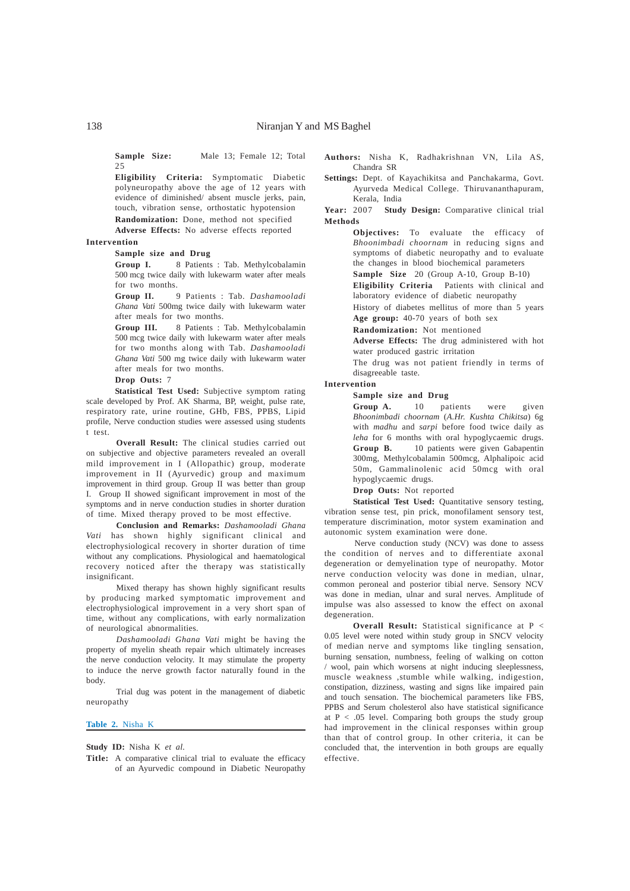**Sample Size:** Male 13; Female 12; Total 25

**Eligibility Criteria:** Symptomatic Diabetic polyneuropathy above the age of 12 years with evidence of diminished/ absent muscle jerks, pain, touch, vibration sense, orthostatic hypotension **Randomization:** Done, method not specified

**Adverse Effects:** No adverse effects reported

#### **Intervention**

**Sample size and Drug**

Group I. 8 Patients : Tab. Methylcobalamin 500 mcg twice daily with lukewarm water after meals for two months.

**Group II.** 9 Patients : Tab. *Dashamooladi Ghana Vati* 500mg twice daily with lukewarm water after meals for two months.

**Group III.** 8 Patients : Tab. Methylcobalamin 500 mcg twice daily with lukewarm water after meals for two months along with Tab. *Dashamooladi Ghana Vati* 500 mg twice daily with lukewarm water after meals for two months.

# **Drop Outs:** 7

**Statistical Test Used:** Subjective symptom rating scale developed by Prof. AK Sharma, BP, weight, pulse rate, respiratory rate, urine routine, GHb, FBS, PPBS, Lipid profile, Nerve conduction studies were assessed using students t test.

**Overall Result:** The clinical studies carried out on subjective and objective parameters revealed an overall mild improvement in I (Allopathic) group, moderate improvement in II (Ayurvedic) group and maximum improvement in third group. Group II was better than group I. Group II showed significant improvement in most of the symptoms and in nerve conduction studies in shorter duration of time. Mixed therapy proved to be most effective.

**Conclusion and Remarks:** *Dashamooladi Ghana Vati* has shown highly significant clinical and electrophysiological recovery in shorter duration of time without any complications. Physiological and haematological recovery noticed after the therapy was statistically insignificant.

Mixed therapy has shown highly significant results by producing marked symptomatic improvement and electrophysiological improvement in a very short span of time, without any complications, with early normalization of neurological abnormalities.

*Dashamooladi Ghana Vati* might be having the property of myelin sheath repair which ultimately increases the nerve conduction velocity. It may stimulate the property to induce the nerve growth factor naturally found in the body.

Trial dug was potent in the management of diabetic neuropathy

**Table 2.** Nisha K

**Study ID:** Nisha K *et al.*

**Authors:** Nisha K, Radhakrishnan VN, Lila AS, Chandra SR

**Settings:** Dept. of Kayachikitsa and Panchakarma, Govt. Ayurveda Medical College. Thiruvananthapuram, Kerala, India

**Year:** 2007 **Study Design:** Comparative clinical trial **Methods**

> **Objectives:** To evaluate the efficacy of *Bhoonimbadi choornam* in reducing signs and symptoms of diabetic neuropathy and to evaluate the changes in blood biochemical parameters

**Sample Size** 20 (Group A-10, Group B-10)

**Eligibility Criteria** Patients with clinical and laboratory evidence of diabetic neuropathy

History of diabetes mellitus of more than 5 years **Age group:** 40-70 years of both sex

**Randomization:** Not mentioned

**Adverse Effects:** The drug administered with hot water produced gastric irritation

The drug was not patient friendly in terms of disagreeable taste.

#### **Intervention**

#### **Sample size and Drug**

Group A. 10 patients were given *Bhoonimbadi choornam* (*A.Hr. Kushta Chikitsa*) 6g with *madhu* and *sarpi* before food twice daily as *leha* for 6 months with oral hypoglycaemic drugs. **Group B.** 10 patients were given Gabapentin 300mg, Methylcobalamin 500mcg, Alphalipoic acid 50m, Gammalinolenic acid 50mcg with oral hypoglycaemic drugs.

**Drop Outs:** Not reported

Statistical Test Used: Quantitative sensory testing, vibration sense test, pin prick, monofilament sensory test, temperature discrimination, motor system examination and autonomic system examination were done.

Nerve conduction study (NCV) was done to assess the condition of nerves and to differentiate axonal degeneration or demyelination type of neuropathy. Motor nerve conduction velocity was done in median, ulnar, common peroneal and posterior tibial nerve. Sensory NCV was done in median, ulnar and sural nerves. Amplitude of impulse was also assessed to know the effect on axonal degeneration.

**Overall Result:** Statistical significance at P < 0.05 level were noted within study group in SNCV velocity of median nerve and symptoms like tingling sensation, burning sensation, numbness, feeling of walking on cotton / wool, pain which worsens at night inducing sleeplessness, muscle weakness ,stumble while walking, indigestion, constipation, dizziness, wasting and signs like impaired pain and touch sensation. The biochemical parameters like FBS, PPBS and Serum cholesterol also have statistical significance at  $P < .05$  level. Comparing both groups the study group had improvement in the clinical responses within group than that of control group. In other criteria, it can be concluded that, the intervention in both groups are equally effective.

**Title:** A comparative clinical trial to evaluate the efficacy of an Ayurvedic compound in Diabetic Neuropathy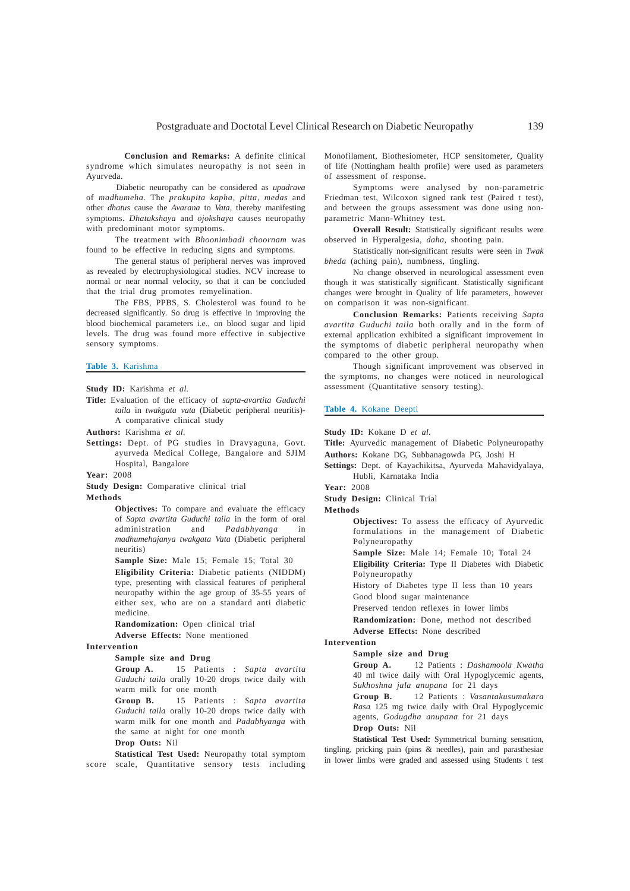**Conclusion and Remarks:** A definite clinical syndrome which simulates neuropathy is not seen in Ayurveda.

Diabetic neuropathy can be considered as *upadrava* of *madhumeha*. The *prakupita kapha*, *pitta, medas* and other *dhatus* cause the *Avarana* to *Vata*, thereby manifesting symptoms. *Dhatukshaya* and *ojokshaya* causes neuropathy with predominant motor symptoms.

The treatment with *Bhoonimbadi choornam* was found to be effective in reducing signs and symptoms.

The general status of peripheral nerves was improved as revealed by electrophysiological studies. NCV increase to normal or near normal velocity, so that it can be concluded that the trial drug promotes remyelination.

The FBS, PPBS, S. Cholesterol was found to be decreased significantly. So drug is effective in improving the blood biochemical parameters i.e., on blood sugar and lipid levels. The drug was found more effective in subjective sensory symptoms.

### **Table 3.** Karishma

**Study ID:** Karishma *et al.*

- **Title:** Evaluation of the efficacy of *sapta*-*avartita Guduchi taila* in *twakgata vata* (Diabetic peripheral neuritis)- A comparative clinical study
- **Authors:** Karishma *et al.*
- **Settings:** Dept. of PG studies in Dravyaguna, Govt. ayurveda Medical College, Bangalore and SJIM Hospital, Bangalore

**Year:** 2008

**Study Design:** Comparative clinical trial

**Methods**

**Objectives:** To compare and evaluate the efficacy of *Sapta avartita Guduchi taila* in the form of oral administration and *Padabhyanga* in *madhumehajanya twakgata Vata* (Diabetic peripheral neuritis)

**Sample Size:** Male 15; Female 15; Total 30

**Eligibility Criteria:** Diabetic patients (NIDDM) type, presenting with classical features of peripheral neuropathy within the age group of 35-55 years of either sex, who are on a standard anti diabetic medicine.

**Randomization:** Open clinical trial

**Adverse Effects:** None mentioned

#### **Intervention**

### **Sample size and Drug**

**Group A.** 15 Patients : *Sapta avartita Guduchi taila* orally 10-20 drops twice daily with warm milk for one month

**Group B.** 15 Patients : *Sapta avartita Guduchi taila* orally 10-20 drops twice daily with warm milk for one month and *Padabhyanga* with the same at night for one month

## **Drop Outs:** Nil

**Statistical Test Used:** Neuropathy total symptom score scale, Quantitative sensory tests including Monofilament, Biothesiometer, HCP sensitometer, Quality of life (Nottingham health profile) were used as parameters of assessment of response.

Symptoms were analysed by non-parametric Friedman test, Wilcoxon signed rank test (Paired t test), and between the groups assessment was done using nonparametric Mann-Whitney test.

**Overall Result:** Statistically significant results were observed in Hyperalgesia, *daha*, shooting pain.

Statistically non-significant results were seen in *Twak bheda* (aching pain), numbness, tingling.

No change observed in neurological assessment even though it was statistically significant. Statistically significant changes were brought in Quality of life parameters, however on comparison it was non-significant.

**Conclusion Remarks:** Patients receiving *Sapta avartita Guduchi taila* both orally and in the form of external application exhibited a significant improvement in the symptoms of diabetic peripheral neuropathy when compared to the other group.

Though significant improvement was observed in the symptoms, no changes were noticed in neurological assessment (Quantitative sensory testing).

#### **Table 4.** Kokane Deepti

**Study ID:** Kokane D *et al.*

**Title:** Ayurvedic management of Diabetic Polyneuropathy **Authors:** Kokane DG, Subbanagowda PG, Joshi H

**Settings:** Dept. of Kayachikitsa, Ayurveda Mahavidyalaya, Hubli, Karnataka India

**Year:** 2008

**Study Design:** Clinical Trial

**Methods**

**Objectives:** To assess the efficacy of Ayurvedic formulations in the management of Diabetic Polyneuropathy

**Sample Size:** Male 14; Female 10; Total 24

**Eligibility Criteria:** Type II Diabetes with Diabetic Polyneuropathy

History of Diabetes type II less than 10 years

Good blood sugar maintenance

Preserved tendon reflexes in lower limbs

**Randomization:** Done, method not described

**Adverse Effects:** None described

#### **Intervention Sample size and Drug**

**Group A.** 12 Patients : *Dashamoola Kwatha* 40 ml twice daily with Oral Hypoglycemic agents, *Sukhoshna jala anupana* for 21 days

**Group B.** 12 Patients : *Vasantakusumakara Rasa* 125 mg twice daily with Oral Hypoglycemic agents, *Godugdha anupana* for 21 days **Drop Outs:** Nil

**Statistical Test Used:** Symmetrical burning sensation, tingling, pricking pain (pins & needles), pain and parasthesiae in lower limbs were graded and assessed using Students t test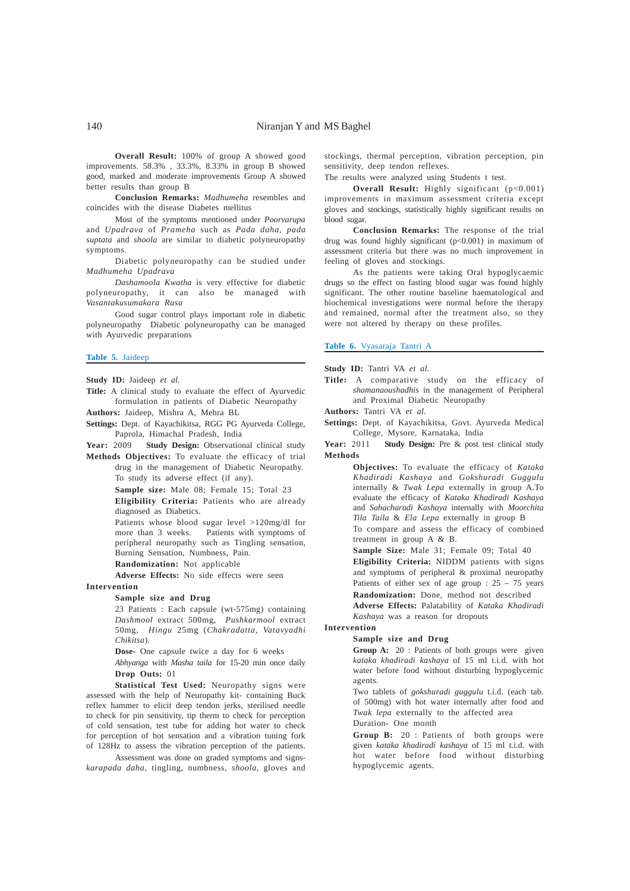**Overall Result:** 100% of group A showed good improvements. 58.3% , 33.3%, 8.33% in group B showed good, marked and moderate improvements Group A showed better results than group B

**Conclusion Remarks:** *Madhumeha* resembles and coincides with the disease Diabetes mellitus

Most of the symptoms mentioned under *Poorvarupa* and *Upadrava* of *Prameha* such as *Pada daha*, *pada suptata* and *shoola* are similar to diabetic polyneuropathy symptoms.

Diabetic polyneuropathy can be studied under *Madhumeha Upadrava*

*Dashamoola Kwatha* is very effective for diabetic polyneuropathy, it can also be managed with *Vasantakusumakara Rasa*

Good sugar control plays important role in diabetic polyneuropathy Diabetic polyneuropathy can be managed with Ayurvedic preparations

#### **Table 5.** Jaideep

**Study ID:** Jaideep *et al.*

**Title:** A clinical study to evaluate the effect of Ayurvedic formulation in patients of Diabetic Neuropathy

**Authors:** Jaideep, Mishra A, Mehra BL

**Settings:** Dept. of Kayachikitsa, RGG PG Ayurveda College, Paprola, Himachal Pradesh, India

Year: 2009 **Study Design:** Observational clinical study

**Methods Objectives:** To evaluate the efficacy of trial drug in the management of Diabetic Neuropathy. To study its adverse effect (if any).

**Sample size:** Male 08; Female 15; Total 23

**Eligibility Criteria:** Patients who are already diagnosed as Diabetics.

Patients whose blood sugar level >120mg/dl for more than 3 weeks. Patients with symptoms of peripheral neuropathy such as Tingling sensation, Burning Sensation, Numbness, Pain.

**Randomization:** Not applicable

**Adverse Effects:** No side effects were seen

# **Intervention**

**Sample size and Drug**

23 Patients : Each capsule (wt-575mg) containing *Dashmool* extract 500mg, *Pushkarmool* extract 50mg, *Hingu* 25mg (*Chakradatta*, *Vatavyadhi Chikitsa*).

**Dose-** One capsule twice a day for 6 weeks

*Abhyanga* with *Masha taila* for 15-20 min once daily **Drop Outs:** 01

**Statistical Test Used:** Neuropathy signs were assessed with the help of Neuropathy kit- containing Buck reflex hammer to elicit deep tendon jerks, sterilised needle to check for pin sensitivity, tip therm to check for perception of cold sensation, test tube for adding hot water to check for perception of hot sensation and a vibration tuning fork of 128Hz to assess the vibration perception of the patients.

Assessment was done on graded symptoms and signs*karapada daha*, tingling, numbness, *shoola*, gloves and stockings, thermal perception, vibration perception, pin sensitivity, deep tendon reflexes.

The results were analyzed using Students t test.

**Overall Result:** Highly significant (p<0.001) improvements in maximum assessment criteria except gloves and stockings, statistically highly significant results on blood sugar.

**Conclusion Remarks:** The response of the trial drug was found highly significant (p<0.001) in maximum of assessment criteria but there was no much improvement in feeling of gloves and stockings.

As the patients were taking Oral hypoglycaemic drugs so the effect on fasting blood sugar was found highly significant. The other routine baseline haematological and biochemical investigations were normal before the therapy and remained, normal after the treatment also, so they were not altered by therapy on these profiles.

#### **Table 6.** Vyasaraja Tantri A

**Study ID:** Tantri VA *et al.*

**Title:** A comparative study on the efficacy of *shamanaoushadhis* in the management of Peripheral and Proximal Diabetic Neuropathy

**Authors:** Tantri VA *et al.*

**Settings:** Dept. of Kayachikitsa, Govt. Ayurveda Medical College, Mysore, Karnataka, India

Year: 2011 **Study Design:** Pre & post test clinical study **Methods**

> **Objectives:** To evaluate the efficacy of *Kataka Khadiradi Kashaya* and *Gokshuradi Guggulu* internally & *Twak Lepa* externally in group A.To evaluate the efficacy of *Kataka Khadiradi Kashaya* and *Sahacharadi Kashaya* internally with *Moorchita Tila Taila* & *Ela Lepa* externally in group B To compare and assess the efficacy of combined

> treatment in group A & B.

**Sample Size:** Male 31; Female 09; Total 40 **Eligibility Criteria:** NIDDM patients with signs and symptoms of peripheral & proximal neuropathy Patients of either sex of age group :  $25 - 75$  years **Randomization:** Done, method not described **Adverse Effects:** Palatability of *Kataka Khadiradi Kashaya* was a reason for dropouts

**Intervention**

#### **Sample size and Drug**

Group A: 20 : Patients of both groups were given *kataka khadiradi kashaya* of 15 ml t.i.d. with hot water before food without disturbing hypoglycemic agents.

Two tablets of *gokshuradi guggulu* t.i.d. (each tab. of 500mg) with hot water internally after food and *Twak lepa* externally to the affected area

Duration- One month

**Group B:** 20 : Patients of both groups were given *kataka khadiradi kashaya* of 15 ml t.i.d. with hot water before food without disturbing hypoglycemic agents.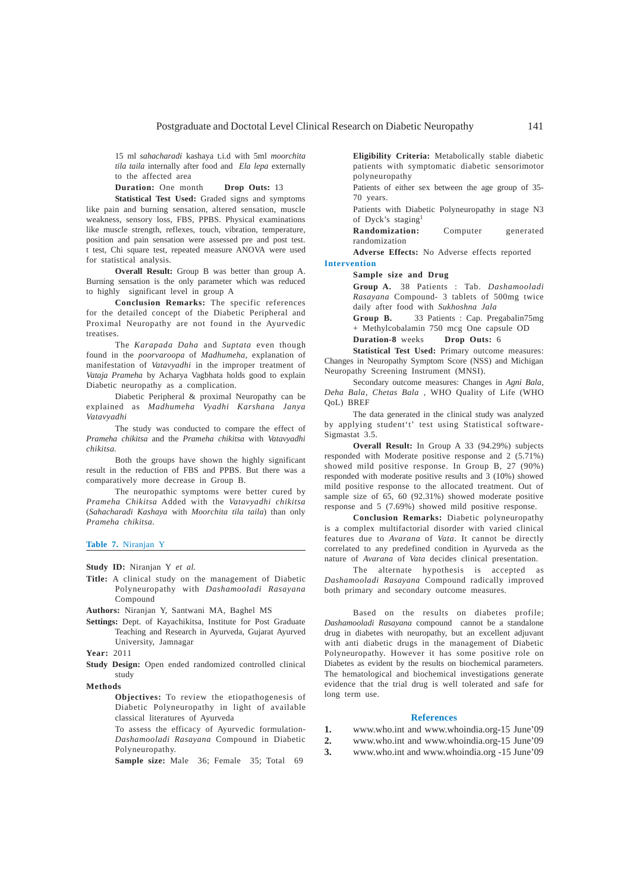15 ml *sahacharadi* kashaya t.i.d with 5ml *moorchita tila taila* internally after food and *Ela lepa* externally to the affected area

**Duration:** One month **Drop Outs:** 13

**Statistical Test Used:** Graded signs and symptoms like pain and burning sensation, altered sensation, muscle weakness, sensory loss, FBS, PPBS. Physical examinations like muscle strength, reflexes, touch, vibration, temperature, position and pain sensation were assessed pre and post test. t test, Chi square test, repeated measure ANOVA were used for statistical analysis.

**Overall Result:** Group B was better than group A. Burning sensation is the only parameter which was reduced to highly significant level in group A

**Conclusion Remarks:** The specific references for the detailed concept of the Diabetic Peripheral and Proximal Neuropathy are not found in the Ayurvedic treatises.

The *Karapada Daha* and *Suptata* even though found in the *poorvaroopa* of *Madhumeha*, explanation of manifestation of *Vatavyadhi* in the improper treatment of *Vataja Prameha* by Acharya Vagbhata holds good to explain Diabetic neuropathy as a complication.

Diabetic Peripheral & proximal Neuropathy can be explained as *Madhumeha Vyadhi Karshana Janya Vatavyadhi*

The study was conducted to compare the effect of *Prameha chikitsa* and the *Prameha chikitsa* with *Vatavyadhi chikitsa*.

Both the groups have shown the highly significant result in the reduction of FBS and PPBS. But there was a comparatively more decrease in Group B.

The neuropathic symptoms were better cured by *Prameha Chikitsa* Added with the *Vatavyadhi chikitsa* (*Sahacharadi Kashaya* with *Moorchita tila taila*) than only *Prameha chikitsa*.

**Table 7.** Niranjan Y

**Study ID:** Niranjan Y *et al.*

**Title:** A clinical study on the management of Diabetic Polyneuropathy with *Dashamooladi Rasayana* Compound

**Authors:** Niranjan Y, Santwani MA, Baghel MS

**Settings:** Dept. of Kayachikitsa, Institute for Post Graduate Teaching and Research in Ayurveda, Gujarat Ayurved University, Jamnagar

**Year:** 2011

**Study Design:** Open ended randomized controlled clinical study

**Methods**

**Objectives:** To review the etiopathogenesis of Diabetic Polyneuropathy in light of available classical literatures of Ayurveda

To assess the efficacy of Ayurvedic formulation-*Dashamooladi Rasayana* Compound in Diabetic Polyneuropathy.

**Sample size:** Male 36: Female 35: Total 69

**Eligibility Criteria:** Metabolically stable diabetic patients with symptomatic diabetic sensorimotor polyneuropathy

Patients of either sex between the age group of 35- 70 years.

Patients with Diabetic Polyneuropathy in stage N3 of Dyck's staging<sup>1</sup>

**Randomization:** Computer generated randomization

**Adverse Effects:** No Adverse effects reported **Intervention**

#### **Sample size and Drug**

**Group A.** 38 Patients : Tab. *Dashamooladi Rasayana* Compound- 3 tablets of 500mg twice daily after food with *Sukhoshna Jala*

**Group B.** 33 Patients : Cap. Pregabalin75mg + Methylcobalamin 750 mcg One capsule OD

**Duration-8** weeks **Drop Outs:** 6

**Statistical Test Used:** Primary outcome measures: Changes in Neuropathy Symptom Score (NSS) and Michigan Neuropathy Screening Instrument (MNSI).

Secondary outcome measures: Changes in *Agni Bala*, *Deha Bala*, *Chetas Bala* , WHO Quality of Life (WHO QoL) BREF

The data generated in the clinical study was analyzed by applying student't' test using Statistical software-Sigmastat 3.5.

**Overall Result:** In Group A 33 (94.29%) subjects responded with Moderate positive response and 2 (5.71%) showed mild positive response. In Group B, 27 (90%) responded with moderate positive results and 3 (10%) showed mild positive response to the allocated treatment. Out of sample size of  $65, 60$  (92.31%) showed moderate positive response and 5 (7.69%) showed mild positive response.

**Conclusion Remarks:** Diabetic polyneuropathy is a complex multifactorial disorder with varied clinical features due to *Avarana* of *Vata*. It cannot be directly correlated to any predefined condition in Ayurveda as the nature of *Avarana* of *Vata* decides clinical presentation.

The alternate hypothesis is accepted as *Dashamooladi Rasayana* Compound radically improved both primary and secondary outcome measures.

Based on the results on diabetes profile; *Dashamooladi Rasayana* compound cannot be a standalone drug in diabetes with neuropathy, but an excellent adjuvant with anti diabetic drugs in the management of Diabetic Polyneuropathy. However it has some positive role on Diabetes as evident by the results on biochemical parameters. The hematological and biochemical investigations generate evidence that the trial drug is well tolerated and safe for long term use.

#### **References**

- **1.** www.who.int and www.whoindia.org-15 June'09
- **2.** www.who.int and www.whoindia.org-15 June'09
- **3.** www.who.int and www.whoindia.org -15 June'09